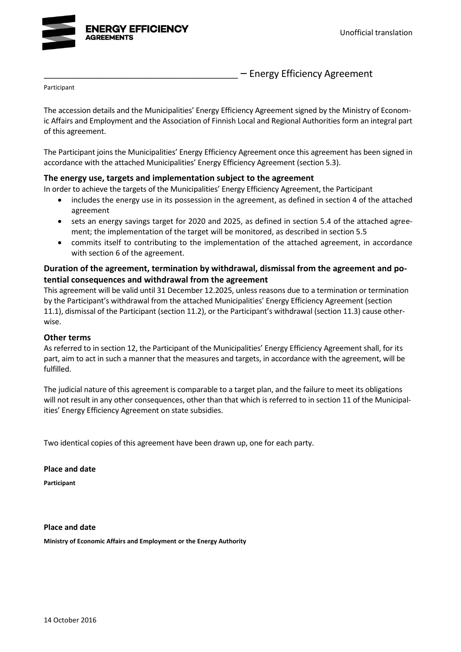

- Energy Efficiency Agreement

Participant

The accession details and the Municipalities' Energy Efficiency Agreement signed by the Ministry of Economic Affairs and Employment and the Association of Finnish Local and Regional Authorities form an integral part of this agreement.

The Participant joins the Municipalities' Energy Efficiency Agreement once this agreement has been signed in accordance with the attached Municipalities' Energy Efficiency Agreement (section 5.3).

#### **The energy use, targets and implementation subject to the agreement**

In order to achieve the targets of the Municipalities' Energy Efficiency Agreement, the Participant

- includes the energy use in its possession in the agreement, as defined in section 4 of the attached agreement
- sets an energy savings target for 2020 and 2025, as defined in section 5.4 of the attached agreement; the implementation of the target will be monitored, as described in section 5.5
- commits itself to contributing to the implementation of the attached agreement, in accordance with section 6 of the agreement.

### **Duration of the agreement, termination by withdrawal, dismissal from the agreement and potential consequences and withdrawal from the agreement**

This agreement will be valid until 31 December 12.2025, unless reasons due to a termination or termination by the Participant's withdrawal from the attached Municipalities' Energy Efficiency Agreement (section 11.1), dismissal of the Participant (section 11.2), or the Participant's withdrawal (section 11.3) cause otherwise.

#### **Other terms**

As referred to in section 12, the Participant of the Municipalities' Energy Efficiency Agreement shall, for its part, aim to act in such a manner that the measures and targets, in accordance with the agreement, will be fulfilled.

The judicial nature of this agreement is comparable to a target plan, and the failure to meet its obligations will not result in any other consequences, other than that which is referred to in section 11 of the Municipalities' Energy Efficiency Agreement on state subsidies.

Two identical copies of this agreement have been drawn up, one for each party.

**Place and date**

**Participant**

**Place and date Ministry of Economic Affairs and Employment or the Energy Authority**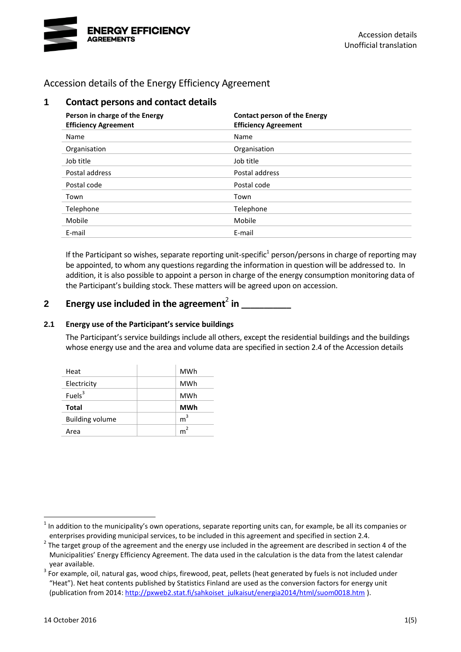

Accession details of the Energy Efficiency Agreement

| 1 | <b>Contact persons and contact details</b>                    |                                                                    |  |  |  |
|---|---------------------------------------------------------------|--------------------------------------------------------------------|--|--|--|
|   | Person in charge of the Energy<br><b>Efficiency Agreement</b> | <b>Contact person of the Energy</b><br><b>Efficiency Agreement</b> |  |  |  |
|   | Name                                                          | Name                                                               |  |  |  |
|   | Organisation                                                  | Organisation                                                       |  |  |  |
|   | Job title                                                     | Job title                                                          |  |  |  |
|   | Postal address                                                | Postal address                                                     |  |  |  |
|   | Postal code                                                   | Postal code                                                        |  |  |  |
|   | Town                                                          | Town                                                               |  |  |  |
|   | Telephone                                                     | Telephone                                                          |  |  |  |
|   | Mobile                                                        | Mobile                                                             |  |  |  |
|   | E-mail                                                        | E-mail                                                             |  |  |  |

If the Participant so wishes, separate reporting unit-specific<sup>1</sup> person/persons in charge of reporting may be appointed, to whom any questions regarding the information in question will be addressed to. In addition, it is also possible to appoint a person in charge of the energy consumption monitoring data of the Participant's building stock. These matters will be agreed upon on accession.

# **2 Energy use included in the agreement**<sup>2</sup> **in \_\_\_\_\_\_\_\_\_\_\_**

### **2.1 Energy use of the Participant's service buildings**

The Participant's service buildings include all others, except the residential buildings and the buildings whose energy use and the area and volume data are specified in section 2.4 of the Accession details

<span id="page-2-0"></span>

| Heat                   | <b>MWh</b>     |
|------------------------|----------------|
| Electricity            | <b>MWh</b>     |
| Fuels <sup>3</sup>     | <b>MWh</b>     |
| <b>Total</b>           | <b>MWh</b>     |
|                        |                |
| <b>Building volume</b> | m <sup>3</sup> |

 $1$  In addition to the municipality's own operations, separate reporting units can, for example, be all its companies or enterprises providing municipal services, to be included in this agreement and specified in section 2.4.

 $2$  The target group of the agreement and the energy use included in the agreement are described in section 4 of the Municipalities' Energy Efficiency Agreement. The data used in the calculation is the data from the latest calendar year available.

 $3$  For example, oil, natural gas, wood chips, firewood, peat, pellets (heat generated by fuels is not included under "Heat"). Net heat contents published by Statistics Finland are used as the conversion factors for energy unit (publication from 2014: [http://pxweb2.stat.fi/sahkoiset\\_julkaisut/energia2014/html/suom0018.htm](http://pxweb2.stat.fi/sahkoiset_julkaisut/energia2014/html/suom0018.htm) ).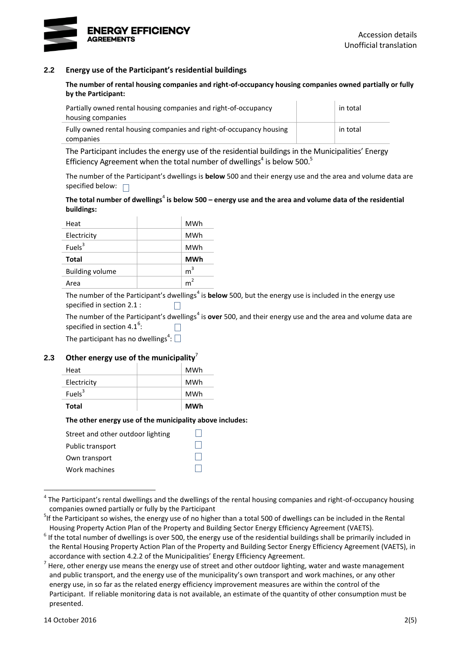

#### **2.2 Energy use of the Participant's residential buildings**

**The number of rental housing companies and right-of-occupancy housing companies owned partially or fully by the Participant:**

| Partially owned rental housing companies and right-of-occupancy     |  | in total |  |
|---------------------------------------------------------------------|--|----------|--|
| housing companies                                                   |  |          |  |
| Fully owned rental housing companies and right-of-occupancy housing |  | in total |  |
| companies                                                           |  |          |  |

<span id="page-3-0"></span>The Participant includes the energy use of the residential buildings in the Municipalities' Energy Efficiency Agreement when the total number of dwellings<sup>4</sup> is below 500.<sup>5</sup>

The number of the Participant's dwellings is **below** 500 and their energy use and the area and volume data are specified below:  $\Box$ 

#### The total number of dwellings<sup>[4](#page-3-0)</sup> is below 500 – energy use and the area and volume data of the residential **buildings:**

| Heat                   | MWh            |
|------------------------|----------------|
| Electricity            | <b>MWh</b>     |
| Fuels $3$              | <b>MWh</b>     |
| <b>Total</b>           | <b>MWh</b>     |
| <b>Building volume</b> | m <sup>3</sup> |
| Area                   | m              |

The number of the Participant's dwellings<sup>[4](#page-3-0)</sup> is **below** 500, but the energy use is included in the energy use specified in section 2.1 :  $\Box$ 

The number of the Participant'[s](#page-3-0) dwellings<sup>4</sup> is **over** 500, and their energy use and the area and volume data are specified in section 4.1<sup>6</sup>: П

The participant has no dwellings<sup>4</sup>[:](#page-3-0)

#### **2.3 Other energy use of the municipality**<sup>7</sup>

| Total              | MWh |
|--------------------|-----|
| Fuels <sup>3</sup> | MWh |
| Electricity        | MWh |
| Heat               | MWh |

#### **The other energy use of the municipality above includes:**

| Street and other outdoor lighting |  |
|-----------------------------------|--|
| Public transport                  |  |
| Own transport                     |  |
| Work machines                     |  |

 $^4$  The Participant's rental dwellings and the dwellings of the rental housing companies and right-of-occupancy housing companies owned partially or fully by the Participant

<sup>&</sup>lt;sup>5</sup>If the Participant so wishes, the energy use of no higher than a total 500 of dwellings can be included in the Rental Housing Property Action Plan of the Property and Building Sector Energy Efficiency Agreement (VAETS).

 $<sup>6</sup>$  If the total number of dwellings is over 500, the energy use of the residential buildings shall be primarily included in</sup> the Rental Housing Property Action Plan of the Property and Building Sector Energy Efficiency Agreement (VAETS), in accordance with section 4.2.2 of the Municipalities' Energy Efficiency Agreement.

 $^7$  Here, other energy use means the energy use of street and other outdoor lighting, water and waste management and public transport, and the energy use of the municipality's own transport and work machines, or any other energy use, in so far as the related energy efficiency improvement measures are within the control of the Participant. If reliable monitoring data is not available, an estimate of the quantity of other consumption must be presented.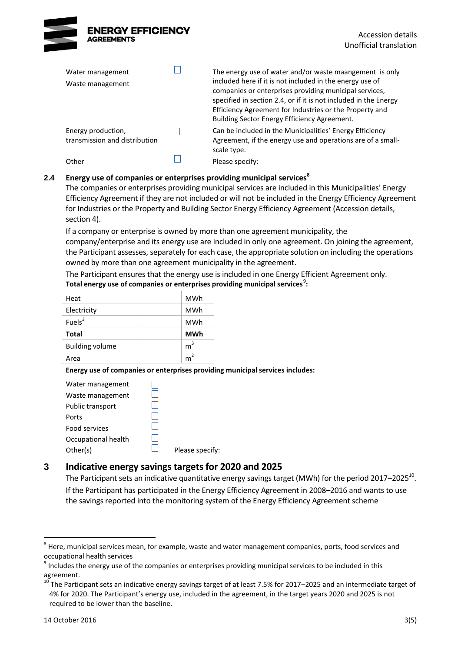

| Water management<br>Waste management                | The energy use of water and/or waste maangement is only<br>included here if it is not included in the energy use of<br>companies or enterprises providing municipal services,<br>specified in section 2.4, or if it is not included in the Energy<br>Efficiency Agreement for Industries or the Property and<br>Building Sector Energy Efficiency Agreement. |
|-----------------------------------------------------|--------------------------------------------------------------------------------------------------------------------------------------------------------------------------------------------------------------------------------------------------------------------------------------------------------------------------------------------------------------|
| Energy production,<br>transmission and distribution | Can be included in the Municipalities' Energy Efficiency<br>Agreement, if the energy use and operations are of a small-<br>scale type.                                                                                                                                                                                                                       |
| Other                                               | Please specify:                                                                                                                                                                                                                                                                                                                                              |

#### **2.4 Energy use of companies or enterprises providing municipal services<sup>8</sup>**

The companies or enterprises providing municipal services are included in this Municipalities' Energy Efficiency Agreement if they are not included or will not be included in the Energy Efficiency Agreement for Industries or the Property and Building Sector Energy Efficiency Agreement (Accession details, section 4).

If a company or enterprise is owned by more than one agreement municipality, the company/enterprise and its energy use are included in only one agreement. On joining the agreement, the Participant assesses, separately for each case, the appropriate solution on including the operations owned by more than one agreement municipality in the agreement.

The Participant ensures that the energy use is included in one Energy Efficient Agreement only. **Total energy use of companies or enterprises providing municipal services<sup>9</sup> :**

| Heat                   | MWh            |
|------------------------|----------------|
| Electricity            | <b>MWh</b>     |
| Fuels $3$              | <b>MWh</b>     |
| Total                  | <b>MWh</b>     |
| <b>Building volume</b> | m <sup>3</sup> |
| Area                   | m <sup>2</sup> |

**Energy use of companies or enterprises providing municipal services includes:**

| Water management     |                 |
|----------------------|-----------------|
| Waste management     |                 |
| Public transport     |                 |
| Ports                |                 |
| <b>Food services</b> |                 |
| Occupational health  |                 |
| Other(s)             | Please specify: |
|                      |                 |

### **3 Indicative energy savings targets for 2020 and 2025**

The Participant sets an indicative quantitative energy savings target (MWh) for the period 2017–2025<sup>10</sup>. If the Participant has participated in the Energy Efficiency Agreement in 2008–2016 and wants to use the savings reported into the monitoring system of the Energy Efficiency Agreement scheme

 $^8$  Here, municipal services mean, for example, waste and water management companies, ports, food services and occupational health services

 $<sup>9</sup>$  Includes the energy use of the companies or enterprises providing municipal services to be included in this</sup> agreement.

 $10$  The Participant sets an indicative energy savings target of at least 7.5% for 2017–2025 and an intermediate target of 4% for 2020. The Participant's energy use, included in the agreement, in the target years 2020 and 2025 is not required to be lower than the baseline.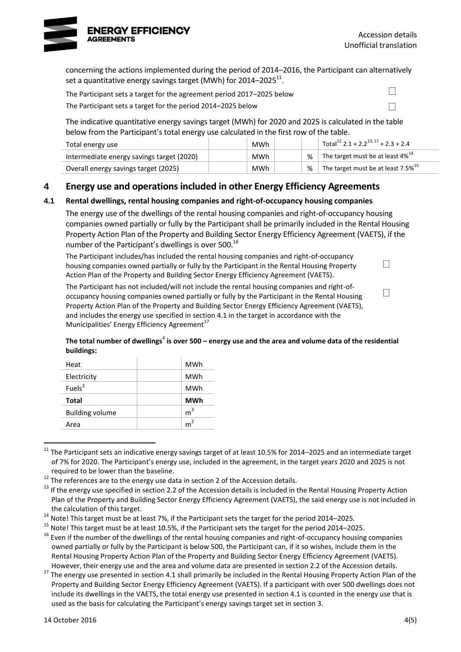

 $\Box$ 

 $\Box$ 

 $\Box$ 

 $\Box$ 

concerning the actions implemented during the period of 2014–2016, the Participant can alternatively set a quantitative energy savings target (MWh) for 2014–2025 $^{\text{11}}$ .

The Participant sets a target for the agreement period 2017–2025 below

The Participant sets a target for the period 2014–2025 below

The indicative quantitative energy savings target (MWh) for 2020 and 2025 is calculated in the table below from the Participant's total energy use calculated in the first row of the table.

| Total energy use                          | MWh        |   | Total <sup>12</sup> 2.1 + 2.2 <sup>13, 17</sup> + 2.3 + 2.4 |
|-------------------------------------------|------------|---|-------------------------------------------------------------|
| Intermediate energy savings target (2020) | <b>MWh</b> | % | The target must be at least $4\%$ <sup>14</sup>             |
| Overall energy savings target (2025)      | <b>MWh</b> | % | The target must be at least 7.5% <sup>15</sup>              |

### **4 Energy use and operations included in other Energy Efficiency Agreements**

### **4.1 Rental dwellings, rental housing companies and right-of-occupancy housing companies**

The energy use of the dwellings of the rental housing companies and right-of-occupancy housing companies owned partially or fully by the Participant shall be primarily included in the Rental Housing Property Action Plan of the Property and Building Sector Energy Efficiency Agreement (VAETS), if the number of the Participant's dwellings is over 500.<sup>16</sup>

The Participant includes/has included the rental housing companies and right-of-occupancy housing companies owned partially or fully by the Participant in the Rental Housing Property Action Plan of the Property and Building Sector Energy Efficiency Agreement (VAETS).

The Participant has not included/will not include the rental housing companies and right-ofoccupancy housing companies owned partially or fully by the Participant in the Rental Housing Property Action Plan of the Property and Building Sector Energy Efficiency Agreement (VAETS), and includes the energy use specified in section 4.1 in the target in accordance with the Municipalities' Energy Efficiency Agreement<sup>17</sup>

#### <span id="page-5-0"></span>The total number of dwellings<sup>[4](#page-3-0)</sup> is over 500 – energy use and the area and volume data of the residential **buildings:**

| Heat                   | MWh            |
|------------------------|----------------|
| Electricity            | <b>MWh</b>     |
| Fuels <sup>3</sup>     | MWh            |
| <b>Total</b>           | <b>MWh</b>     |
| <b>Building volume</b> | m <sup>3</sup> |
| Area                   | m <sup>2</sup> |

<sup>1</sup>  $11$  The Participant sets an indicative energy savings target of at least 10.5% for 2014–2025 and an intermediate target of 7% for 2020. The Participant's energy use, included in the agreement, in the target years 2020 and 2025 is not required to be lower than the baseline.

<sup>&</sup>lt;sup>12</sup> The references are to the energy use data in section 2 of the Accession details.

<sup>&</sup>lt;sup>13</sup> If the energy use specified in section 2.2 of the Accession details is included in the Rental Housing Property Action Plan of the Property and Building Sector Energy Efficiency Agreement (VAETS), the said energy use is not included in the calculation of this target.

 $14$  Note! This target must be at least 7%, if the Participant sets the target for the period 2014–2025.

<sup>&</sup>lt;sup>15</sup> Note! This target must be at least 10.5%, if the Participant sets the target for the period 2014–2025.

<sup>&</sup>lt;sup>16</sup> Even if the number of the dwellings of the rental housing companies and right-of-occupancy housing companies owned partially or fully by the Participant is below 500, the Participant can, if it so wishes, include them in the Rental Housing Property Action Plan of the Property and Building Sector Energy Efficiency Agreement (VAETS). However, their energy use and the area and volume data are presented in section 2.2 of the Accession details.

<sup>&</sup>lt;sup>17</sup> The energy use presented in section 4.1 shall primarily be included in the Rental Housing Property Action Plan of the Property and Building Sector Energy Efficiency Agreement (VAETS). If a participant with over 500 dwellings does not include its dwellings in the VAETS, the total energy use presented in section 4.1 is counted in the energy use that is used as the basis for calculating the Participant's energy savings target set in section 3.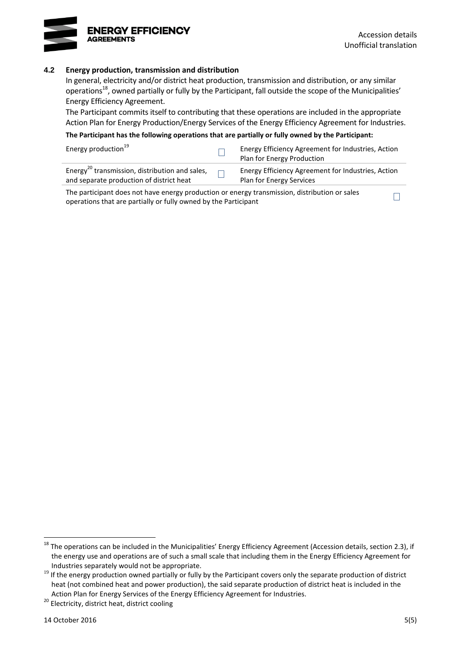

 $\Box$ 

#### **4.2 Energy production, transmission and distribution**

In general, electricity and/or district heat production, transmission and distribution, or any similar operations<sup>18</sup>, owned partially or fully by the Participant, fall outside the scope of the Municipalities' Energy Efficiency Agreement.

The Participant commits itself to contributing that these operations are included in the appropriate Action Plan for Energy Production/Energy Services of the Energy Efficiency Agreement for Industries.

**The Participant has the following operations that are partially or fully owned by the Participant:**

| Energy production <sup>19</sup>                                                                        | Energy Efficiency Agreement for Industries, Action<br>Plan for Energy Production |
|--------------------------------------------------------------------------------------------------------|----------------------------------------------------------------------------------|
| Energy <sup>20</sup> transmission, distribution and sales,<br>and separate production of district heat | Energy Efficiency Agreement for Industries, Action<br>Plan for Energy Services   |

The participant does not have energy production or energy transmission, distribution or sales operations that are partially or fully owned by the Participant

 $^{18}$  The operations can be included in the Municipalities' Energy Efficiency Agreement (Accession details, section 2.3), if the energy use and operations are of such a small scale that including them in the Energy Efficiency Agreement for Industries separately would not be appropriate.

 $19$  If the energy production owned partially or fully by the Participant covers only the separate production of district heat (not combined heat and power production), the said separate production of district heat is included in the Action Plan for Energy Services of the Energy Efficiency Agreement for Industries.

<sup>20</sup> Electricity, district heat, district cooling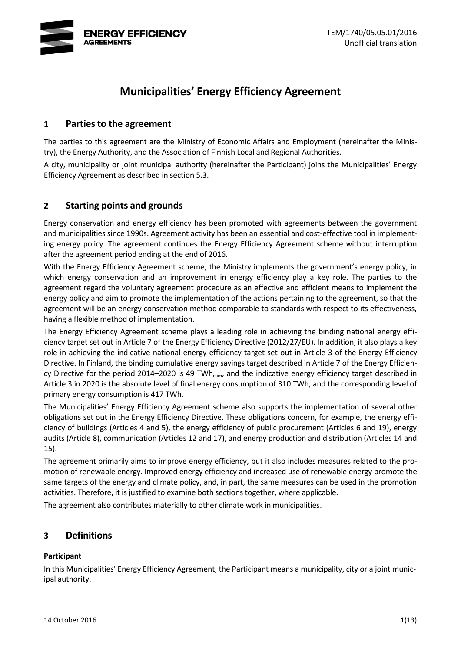

# **Municipalities' Energy Efficiency Agreement**

### **1 Parties to the agreement**

The parties to this agreement are the Ministry of Economic Affairs and Employment (hereinafter the Ministry), the Energy Authority, and the Association of Finnish Local and Regional Authorities.

A city, municipality or joint municipal authority (hereinafter the Participant) joins the Municipalities' Energy Efficiency Agreement as described in section 5.3.

### **2 Starting points and grounds**

Energy conservation and energy efficiency has been promoted with agreements between the government and municipalities since 1990s. Agreement activity has been an essential and cost-effective tool in implementing energy policy. The agreement continues the Energy Efficiency Agreement scheme without interruption after the agreement period ending at the end of 2016.

With the Energy Efficiency Agreement scheme, the Ministry implements the government's energy policy, in which energy conservation and an improvement in energy efficiency play a key role. The parties to the agreement regard the voluntary agreement procedure as an effective and efficient means to implement the energy policy and aim to promote the implementation of the actions pertaining to the agreement, so that the agreement will be an energy conservation method comparable to standards with respect to its effectiveness, having a flexible method of implementation.

The Energy Efficiency Agreement scheme plays a leading role in achieving the binding national energy efficiency target set out in Article 7 of the Energy Efficiency Directive (2012/27/EU). In addition, it also plays a key role in achieving the indicative national energy efficiency target set out in Article 3 of the Energy Efficiency Directive. In Finland, the binding cumulative energy savings target described in Article 7 of the Energy Efficiency Directive for the period 2014–2020 is 49 TWh<sub>cum</sub>, and the indicative energy efficiency target described in Article 3 in 2020 is the absolute level of final energy consumption of 310 TWh, and the corresponding level of primary energy consumption is 417 TWh.

The Municipalities' Energy Efficiency Agreement scheme also supports the implementation of several other obligations set out in the Energy Efficiency Directive. These obligations concern, for example, the energy efficiency of buildings (Articles 4 and 5), the energy efficiency of public procurement (Articles 6 and 19), energy audits (Article 8), communication (Articles 12 and 17), and energy production and distribution (Articles 14 and 15).

The agreement primarily aims to improve energy efficiency, but it also includes measures related to the promotion of renewable energy. Improved energy efficiency and increased use of renewable energy promote the same targets of the energy and climate policy, and, in part, the same measures can be used in the promotion activities. Therefore, it is justified to examine both sections together, where applicable.

The agreement also contributes materially to other climate work in municipalities.

### **3 Definitions**

### **Participant**

In this Municipalities' Energy Efficiency Agreement, the Participant means a municipality, city or a joint municipal authority.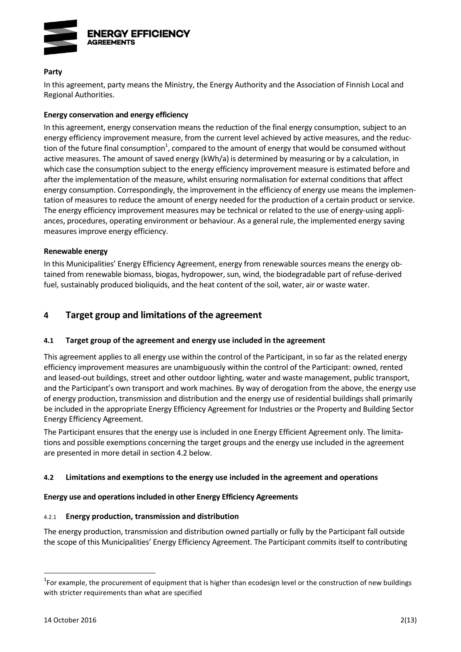

#### **Party**

In this agreement, party means the Ministry, the Energy Authority and the Association of Finnish Local and Regional Authorities.

#### **Energy conservation and energy efficiency**

In this agreement, energy conservation means the reduction of the final energy consumption, subject to an energy efficiency improvement measure, from the current level achieved by active measures, and the reduction of the future final consumption<sup>1</sup>, compared to the amount of energy that would be consumed without active measures. The amount of saved energy (kWh/a) is determined by measuring or by a calculation, in which case the consumption subject to the energy efficiency improvement measure is estimated before and after the implementation of the measure, whilst ensuring normalisation for external conditions that affect energy consumption. Correspondingly, the improvement in the efficiency of energy use means the implementation of measures to reduce the amount of energy needed for the production of a certain product or service. The energy efficiency improvement measures may be technical or related to the use of energy-using appliances, procedures, operating environment or behaviour. As a general rule, the implemented energy saving measures improve energy efficiency.

#### **Renewable energy**

In this Municipalities' Energy Efficiency Agreement, energy from renewable sources means the energy obtained from renewable biomass, biogas, hydropower, sun, wind, the biodegradable part of refuse-derived fuel, sustainably produced bioliquids, and the heat content of the soil, water, air or waste water.

### **4 Target group and limitations of the agreement**

#### **4.1 Target group of the agreement and energy use included in the agreement**

This agreement applies to all energy use within the control of the Participant, in so far as the related energy efficiency improvement measures are unambiguously within the control of the Participant: owned, rented and leased-out buildings, street and other outdoor lighting, water and waste management, public transport, and the Participant's own transport and work machines. By way of derogation from the above, the energy use of energy production, transmission and distribution and the energy use of residential buildings shall primarily be included in the appropriate Energy Efficiency Agreement for Industries or the Property and Building Sector Energy Efficiency Agreement.

The Participant ensures that the energy use is included in one Energy Efficient Agreement only. The limitations and possible exemptions concerning the target groups and the energy use included in the agreement are presented in more detail in section 4.2 below.

#### **4.2 Limitations and exemptions to the energy use included in the agreement and operations**

#### **Energy use and operations included in other Energy Efficiency Agreements**

#### 4.2.1 **Energy production, transmission and distribution**

The energy production, transmission and distribution owned partially or fully by the Participant fall outside the scope of this Municipalities' Energy Efficiency Agreement. The Participant commits itself to contributing

 $1$ For example, the procurement of equipment that is higher than ecodesign level or the construction of new buildings with stricter requirements than what are specified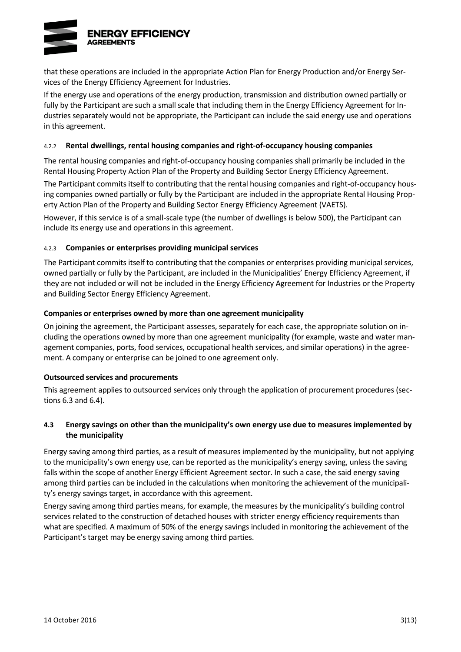

that these operations are included in the appropriate Action Plan for Energy Production and/or Energy Services of the Energy Efficiency Agreement for Industries.

If the energy use and operations of the energy production, transmission and distribution owned partially or fully by the Participant are such a small scale that including them in the Energy Efficiency Agreement for Industries separately would not be appropriate, the Participant can include the said energy use and operations in this agreement.

#### 4.2.2 **Rental dwellings, rental housing companies and right-of-occupancy housing companies**

The rental housing companies and right-of-occupancy housing companies shall primarily be included in the Rental Housing Property Action Plan of the Property and Building Sector Energy Efficiency Agreement.

The Participant commits itself to contributing that the rental housing companies and right-of-occupancy housing companies owned partially or fully by the Participant are included in the appropriate Rental Housing Property Action Plan of the Property and Building Sector Energy Efficiency Agreement (VAETS).

However, if this service is of a small-scale type (the number of dwellings is below 500), the Participant can include its energy use and operations in this agreement.

#### 4.2.3 **Companies or enterprises providing municipal services**

The Participant commits itself to contributing that the companies or enterprises providing municipal services, owned partially or fully by the Participant, are included in the Municipalities' Energy Efficiency Agreement, if they are not included or will not be included in the Energy Efficiency Agreement for Industries or the Property and Building Sector Energy Efficiency Agreement.

#### **Companies or enterprises owned by more than one agreement municipality**

On joining the agreement, the Participant assesses, separately for each case, the appropriate solution on including the operations owned by more than one agreement municipality (for example, waste and water management companies, ports, food services, occupational health services, and similar operations) in the agreement. A company or enterprise can be joined to one agreement only.

#### **Outsourced services and procurements**

This agreement applies to outsourced services only through the application of procurement procedures (sections 6.3 and 6.4).

#### **4.3 Energy savings on other than the municipality's own energy use due to measures implemented by the municipality**

Energy saving among third parties, as a result of measures implemented by the municipality, but not applying to the municipality's own energy use, can be reported as the municipality's energy saving, unless the saving falls within the scope of another Energy Efficient Agreement sector. In such a case, the said energy saving among third parties can be included in the calculations when monitoring the achievement of the municipality's energy savings target, in accordance with this agreement.

Energy saving among third parties means, for example, the measures by the municipality's building control services related to the construction of detached houses with stricter energy efficiency requirements than what are specified. A maximum of 50% of the energy savings included in monitoring the achievement of the Participant's target may be energy saving among third parties.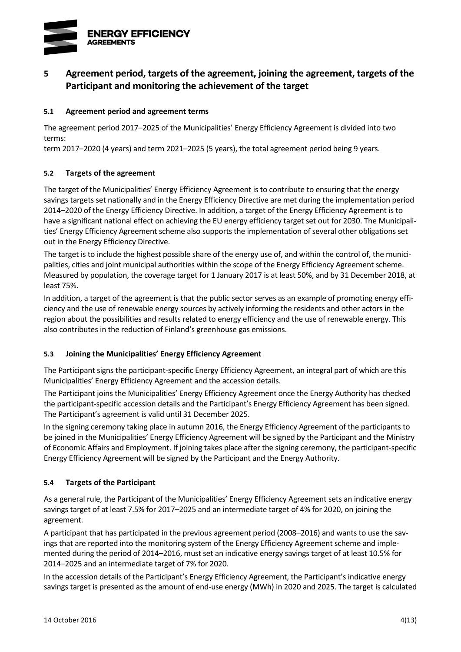

## **5 Agreement period, targets of the agreement, joining the agreement, targets of the Participant and monitoring the achievement of the target**

### **5.1 Agreement period and agreement terms**

The agreement period 2017–2025 of the Municipalities' Energy Efficiency Agreement is divided into two terms:

term 2017–2020 (4 years) and term 2021–2025 (5 years), the total agreement period being 9 years.

#### **5.2 Targets of the agreement**

The target of the Municipalities' Energy Efficiency Agreement is to contribute to ensuring that the energy savings targets set nationally and in the Energy Efficiency Directive are met during the implementation period 2014–2020 of the Energy Efficiency Directive. In addition, a target of the Energy Efficiency Agreement is to have a significant national effect on achieving the EU energy efficiency target set out for 2030. The Municipalities' Energy Efficiency Agreement scheme also supports the implementation of several other obligations set out in the Energy Efficiency Directive.

The target is to include the highest possible share of the energy use of, and within the control of, the municipalities, cities and joint municipal authorities within the scope of the Energy Efficiency Agreement scheme. Measured by population, the coverage target for 1 January 2017 is at least 50%, and by 31 December 2018, at least 75%.

In addition, a target of the agreement is that the public sector serves as an example of promoting energy efficiency and the use of renewable energy sources by actively informing the residents and other actors in the region about the possibilities and results related to energy efficiency and the use of renewable energy. This also contributes in the reduction of Finland's greenhouse gas emissions.

### **5.3 Joining the Municipalities' Energy Efficiency Agreement**

The Participant signs the participant-specific Energy Efficiency Agreement, an integral part of which are this Municipalities' Energy Efficiency Agreement and the accession details.

The Participant joins the Municipalities' Energy Efficiency Agreement once the Energy Authority has checked the participant-specific accession details and the Participant's Energy Efficiency Agreement has been signed. The Participant's agreement is valid until 31 December 2025.

In the signing ceremony taking place in autumn 2016, the Energy Efficiency Agreement of the participants to be joined in the Municipalities' Energy Efficiency Agreement will be signed by the Participant and the Ministry of Economic Affairs and Employment. If joining takes place after the signing ceremony, the participant-specific Energy Efficiency Agreement will be signed by the Participant and the Energy Authority.

### **5.4 Targets of the Participant**

As a general rule, the Participant of the Municipalities' Energy Efficiency Agreement sets an indicative energy savings target of at least 7.5% for 2017–2025 and an intermediate target of 4% for 2020, on joining the agreement.

A participant that has participated in the previous agreement period (2008–2016) and wants to use the savings that are reported into the monitoring system of the Energy Efficiency Agreement scheme and implemented during the period of 2014–2016, must set an indicative energy savings target of at least 10.5% for 2014–2025 and an intermediate target of 7% for 2020.

In the accession details of the Participant's Energy Efficiency Agreement, the Participant's indicative energy savings target is presented as the amount of end-use energy (MWh) in 2020 and 2025. The target is calculated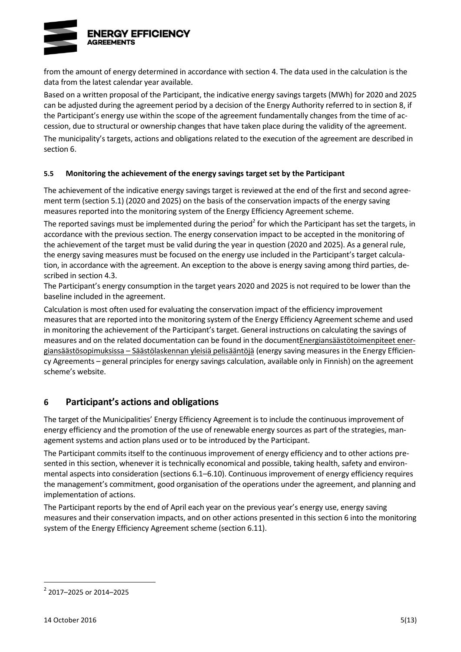

from the amount of energy determined in accordance with section 4. The data used in the calculation is the data from the latest calendar year available.

Based on a written proposal of the Participant, the indicative energy savings targets (MWh) for 2020 and 2025 can be adjusted during the agreement period by a decision of the Energy Authority referred to in section 8, if the Participant's energy use within the scope of the agreement fundamentally changes from the time of accession, due to structural or ownership changes that have taken place during the validity of the agreement.

The municipality's targets, actions and obligations related to the execution of the agreement are described in section 6.

#### **5.5 Monitoring the achievement of the energy savings target set by the Participant**

The achievement of the indicative energy savings target is reviewed at the end of the first and second agreement term (section 5.1) (2020 and 2025) on the basis of the conservation impacts of the energy saving measures reported into the monitoring system of the Energy Efficiency Agreement scheme.

The reported savings must be implemented during the period<sup>2</sup> for which the Participant has set the targets, in accordance with the previous section. The energy conservation impact to be accepted in the monitoring of the achievement of the target must be valid during the year in question (2020 and 2025). As a general rule, the energy saving measures must be focused on the energy use included in the Participant's target calculation, in accordance with the agreement. An exception to the above is energy saving among third parties, described in section 4.3.

The Participant's energy consumption in the target years 2020 and 2025 is not required to be lower than the baseline included in the agreement.

Calculation is most often used for evaluating the conservation impact of the efficiency improvement measures that are reported into the monitoring system of the Energy Efficiency Agreement scheme and used in monitoring the achievement of the Participant's target. General instructions on calculating the savings of measures and on the related documentation can be found in the documen[tEnergiansäästötoimenpiteet ener](http://www.energiatehokkuussopimukset.fi/fi/tietoa_sopimuksista/sopimustoiminnan_kulmakivet/seuranta_ja_raportointi/saastojen_laskenta/)giansäästösopimuksissa – [Säästölaskennan yleisiä pelisääntöjä](http://www.energiatehokkuussopimukset.fi/fi/tietoa_sopimuksista/sopimustoiminnan_kulmakivet/seuranta_ja_raportointi/saastojen_laskenta/) (energy saving measures in the Energy Efficiency Agreements – general principles for energy savings calculation, available only in Finnish) on the agreement scheme's website.

### **6 Participant's actions and obligations**

The target of the Municipalities' Energy Efficiency Agreement is to include the continuous improvement of energy efficiency and the promotion of the use of renewable energy sources as part of the strategies, management systems and action plans used or to be introduced by the Participant.

The Participant commits itself to the continuous improvement of energy efficiency and to other actions presented in this section, whenever it is technically economical and possible, taking health, safety and environmental aspects into consideration (sections 6.1–6.10). Continuous improvement of energy efficiency requires the management's commitment, good organisation of the operations under the agreement, and planning and implementation of actions.

The Participant reports by the end of April each year on the previous year's energy use, energy saving measures and their conservation impacts, and on other actions presented in this section 6 into the monitoring system of the Energy Efficiency Agreement scheme (section 6.11).

<sup>2</sup> 2017–2025 or 2014–2025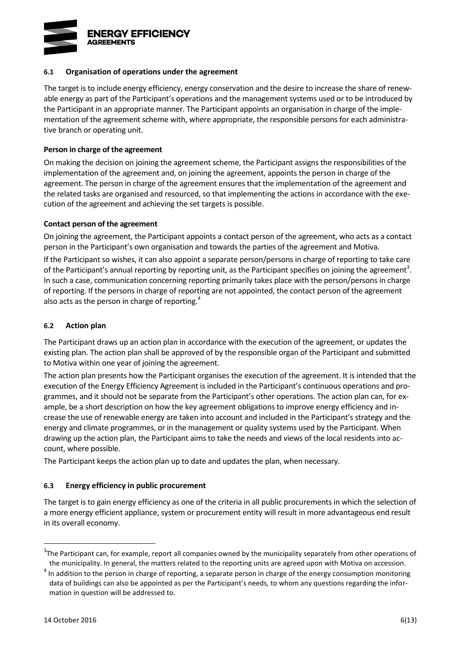

#### **6.1 Organisation of operations under the agreement**

The target is to include energy efficiency, energy conservation and the desire to increase the share of renewable energy as part of the Participant's operations and the management systems used or to be introduced by the Participant in an appropriate manner. The Participant appoints an organisation in charge of the implementation of the agreement scheme with, where appropriate, the responsible persons for each administrative branch or operating unit.

#### **Person in charge of the agreement**

On making the decision on joining the agreement scheme, the Participant assigns the responsibilities of the implementation of the agreement and, on joining the agreement, appoints the person in charge of the agreement. The person in charge of the agreement ensures that the implementation of the agreement and the related tasks are organised and resourced, so that implementing the actions in accordance with the execution of the agreement and achieving the set targets is possible.

#### **Contact person of the agreement**

On joining the agreement, the Participant appoints a contact person of the agreement, who acts as a contact person in the Participant's own organisation and towards the parties of the agreement and Motiva.

If the Participant so wishes, it can also appoint a separate person/persons in charge of reporting to take care of the Participant's annual reporting by reporting unit, as the Participant specifies on joining the agreement<sup>3</sup>. In such a case, communication concerning reporting primarily takes place with the person/persons in charge of reporting. If the persons in charge of reporting are not appointed, the contact person of the agreement also acts as the person in charge of reporting.<sup>4</sup>

#### **6.2 Action plan**

The Participant draws up an action plan in accordance with the execution of the agreement, or updates the existing plan. The action plan shall be approved of by the responsible organ of the Participant and submitted to Motiva within one year of joining the agreement.

The action plan presents how the Participant organises the execution of the agreement. It is intended that the execution of the Energy Efficiency Agreement is included in the Participant's continuous operations and programmes, and it should not be separate from the Participant's other operations. The action plan can, for example, be a short description on how the key agreement obligations to improve energy efficiency and increase the use of renewable energy are taken into account and included in the Participant's strategy and the energy and climate programmes, or in the management or quality systems used by the Participant. When drawing up the action plan, the Participant aims to take the needs and views of the local residents into account, where possible.

The Participant keeps the action plan up to date and updates the plan, when necessary.

#### **6.3 Energy efficiency in public procurement**

The target is to gain energy efficiency as one of the criteria in all public procurements in which the selection of a more energy efficient appliance, system or procurement entity will result in more advantageous end result in its overall economy.

 $3$ The Participant can, for example, report all companies owned by the municipality separately from other operations of the municipality. In general, the matters related to the reporting units are agreed upon with Motiva on accession.

 $<sup>4</sup>$  In addition to the person in charge of reporting, a separate person in charge of the energy consumption monitoring</sup> data of buildings can also be appointed as per the Participant's needs, to whom any questions regarding the information in question will be addressed to.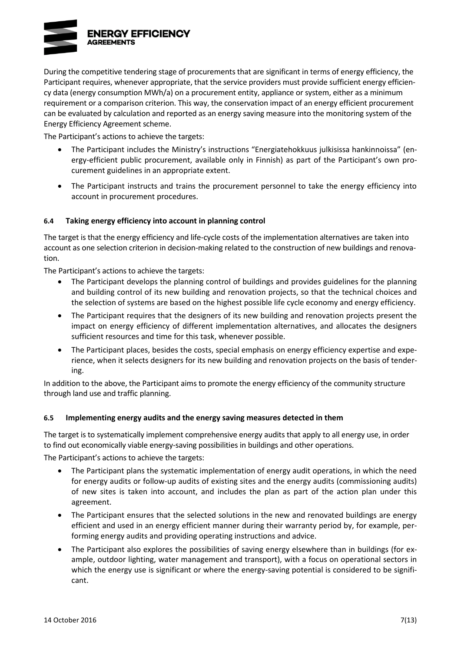

During the competitive tendering stage of procurements that are significant in terms of energy efficiency, the Participant requires, whenever appropriate, that the service providers must provide sufficient energy efficiency data (energy consumption MWh/a) on a procurement entity, appliance or system, either as a minimum requirement or a comparison criterion. This way, the conservation impact of an energy efficient procurement can be evaluated by calculation and reported as an energy saving measure into the monitoring system of the Energy Efficiency Agreement scheme.

The Participant's actions to achieve the targets:

- The Participant includes the Ministry's instructions "Energiatehokkuus julkisissa hankinnoissa" (energy-efficient public procurement, available only in Finnish) as part of the Participant's own procurement guidelines in an appropriate extent.
- The Participant instructs and trains the procurement personnel to take the energy efficiency into account in procurement procedures.

#### **6.4 Taking energy efficiency into account in planning control**

The target is that the energy efficiency and life-cycle costs of the implementation alternatives are taken into account as one selection criterion in decision-making related to the construction of new buildings and renovation.

The Participant's actions to achieve the targets:

- The Participant develops the planning control of buildings and provides guidelines for the planning and building control of its new building and renovation projects, so that the technical choices and the selection of systems are based on the highest possible life cycle economy and energy efficiency.
- The Participant requires that the designers of its new building and renovation projects present the impact on energy efficiency of different implementation alternatives, and allocates the designers sufficient resources and time for this task, whenever possible.
- The Participant places, besides the costs, special emphasis on energy efficiency expertise and experience, when it selects designers for its new building and renovation projects on the basis of tendering.

In addition to the above, the Participant aims to promote the energy efficiency of the community structure through land use and traffic planning.

#### **6.5 Implementing energy audits and the energy saving measures detected in them**

The target is to systematically implement comprehensive energy audits that apply to all energy use, in order to find out economically viable energy-saving possibilities in buildings and other operations.

The Participant's actions to achieve the targets:

- The Participant plans the systematic implementation of energy audit operations, in which the need for energy audits or follow-up audits of existing sites and the energy audits (commissioning audits) of new sites is taken into account, and includes the plan as part of the action plan under this agreement.
- The Participant ensures that the selected solutions in the new and renovated buildings are energy efficient and used in an energy efficient manner during their warranty period by, for example, performing energy audits and providing operating instructions and advice.
- The Participant also explores the possibilities of saving energy elsewhere than in buildings (for example, outdoor lighting, water management and transport), with a focus on operational sectors in which the energy use is significant or where the energy-saving potential is considered to be significant.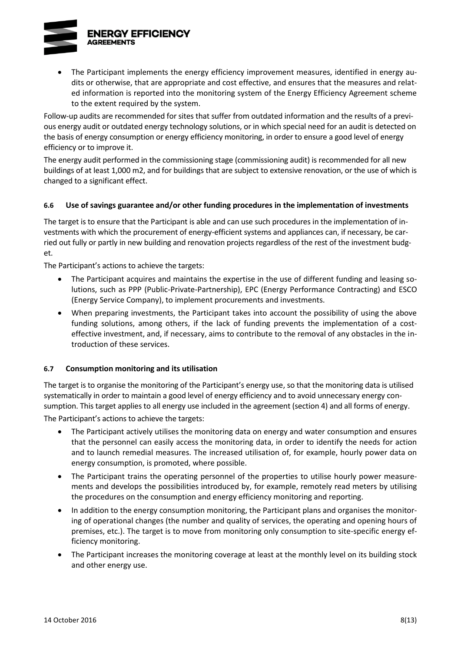

 The Participant implements the energy efficiency improvement measures, identified in energy audits or otherwise, that are appropriate and cost effective, and ensures that the measures and related information is reported into the monitoring system of the Energy Efficiency Agreement scheme to the extent required by the system.

Follow-up audits are recommended for sites that suffer from outdated information and the results of a previous energy audit or outdated energy technology solutions, or in which special need for an audit is detected on the basis of energy consumption or energy efficiency monitoring, in order to ensure a good level of energy efficiency or to improve it.

The energy audit performed in the commissioning stage (commissioning audit) is recommended for all new buildings of at least 1,000 m2, and for buildings that are subject to extensive renovation, or the use of which is changed to a significant effect.

#### **6.6 Use of savings guarantee and/or other funding procedures in the implementation of investments**

The target is to ensure that the Participant is able and can use such procedures in the implementation of investments with which the procurement of energy-efficient systems and appliances can, if necessary, be carried out fully or partly in new building and renovation projects regardless of the rest of the investment budget.

The Participant's actions to achieve the targets:

- The Participant acquires and maintains the expertise in the use of different funding and leasing solutions, such as PPP (Public-Private-Partnership), EPC (Energy Performance Contracting) and ESCO (Energy Service Company), to implement procurements and investments.
- When preparing investments, the Participant takes into account the possibility of using the above funding solutions, among others, if the lack of funding prevents the implementation of a costeffective investment, and, if necessary, aims to contribute to the removal of any obstacles in the introduction of these services.

#### **6.7 Consumption monitoring and its utilisation**

The target is to organise the monitoring of the Participant's energy use, so that the monitoring data is utilised systematically in order to maintain a good level of energy efficiency and to avoid unnecessary energy consumption. This target applies to all energy use included in the agreement (section 4) and all forms of energy.

The Participant's actions to achieve the targets:

- The Participant actively utilises the monitoring data on energy and water consumption and ensures that the personnel can easily access the monitoring data, in order to identify the needs for action and to launch remedial measures. The increased utilisation of, for example, hourly power data on energy consumption, is promoted, where possible.
- The Participant trains the operating personnel of the properties to utilise hourly power measurements and develops the possibilities introduced by, for example, remotely read meters by utilising the procedures on the consumption and energy efficiency monitoring and reporting.
- In addition to the energy consumption monitoring, the Participant plans and organises the monitoring of operational changes (the number and quality of services, the operating and opening hours of premises, etc.). The target is to move from monitoring only consumption to site-specific energy efficiency monitoring.
- The Participant increases the monitoring coverage at least at the monthly level on its building stock and other energy use.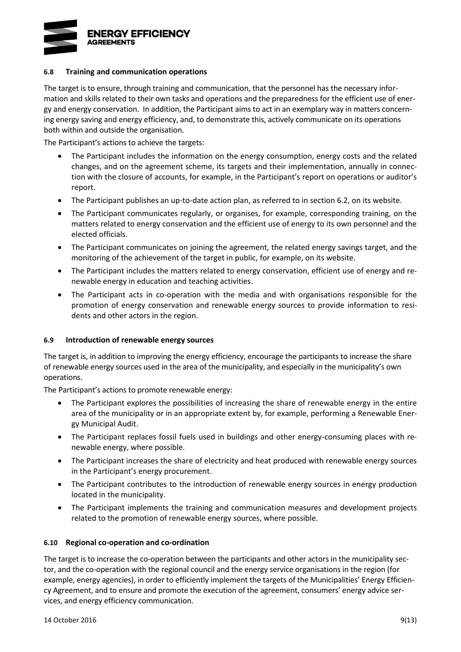

#### **6.8 Training and communication operations**

The target is to ensure, through training and communication, that the personnel has the necessary information and skills related to their own tasks and operations and the preparedness for the efficient use of energy and energy conservation. In addition, the Participant aims to act in an exemplary way in matters concerning energy saving and energy efficiency, and, to demonstrate this, actively communicate on its operations both within and outside the organisation.

The Participant's actions to achieve the targets:

- The Participant includes the information on the energy consumption, energy costs and the related changes, and on the agreement scheme, its targets and their implementation, annually in connection with the closure of accounts, for example, in the Participant's report on operations or auditor's report.
- The Participant publishes an up-to-date action plan, as referred to in section 6.2, on its website.
- The Participant communicates regularly, or organises, for example, corresponding training, on the matters related to energy conservation and the efficient use of energy to its own personnel and the elected officials.
- The Participant communicates on joining the agreement, the related energy savings target, and the monitoring of the achievement of the target in public, for example, on its website.
- The Participant includes the matters related to energy conservation, efficient use of energy and renewable energy in education and teaching activities.
- The Participant acts in co-operation with the media and with organisations responsible for the promotion of energy conservation and renewable energy sources to provide information to residents and other actors in the region.

#### **6.9 Introduction of renewable energy sources**

The target is, in addition to improving the energy efficiency, encourage the participants to increase the share of renewable energy sources used in the area of the municipality, and especially in the municipality's own operations.

The Participant's actions to promote renewable energy:

- The Participant explores the possibilities of increasing the share of renewable energy in the entire area of the municipality or in an appropriate extent by, for example, performing a Renewable Energy Municipal Audit.
- The Participant replaces fossil fuels used in buildings and other energy-consuming places with renewable energy, where possible.
- The Participant increases the share of electricity and heat produced with renewable energy sources in the Participant's energy procurement.
- The Participant contributes to the introduction of renewable energy sources in energy production located in the municipality.
- The Participant implements the training and communication measures and development projects related to the promotion of renewable energy sources, where possible.

#### **6.10 Regional co-operation and co-ordination**

The target is to increase the co-operation between the participants and other actors in the municipality sector, and the co-operation with the regional council and the energy service organisations in the region (for example, energy agencies), in order to efficiently implement the targets of the Municipalities' Energy Efficiency Agreement, and to ensure and promote the execution of the agreement, consumers' energy advice services, and energy efficiency communication.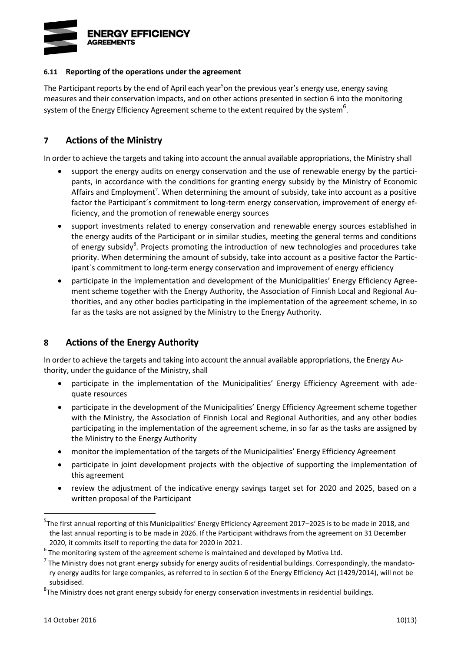

#### **6.11 Reporting of the operations under the agreement**

<span id="page-17-0"></span>The Participant reports by the end of April each year<sup>5</sup>on the previous year's energy use, energy saving measures and their conservation impacts, and on other actions presented in section 6 into the monitoring system of the Energy Efficiency Agreement scheme to the extent required by the system $^6\!$ .

### **7 Actions of the Ministry**

In order to achieve the targets and taking into account the annual available appropriations, the Ministry shall

- support the energy audits on energy conservation and the use of renewable energy by the participants, in accordance with the conditions for granting energy subsidy by the Ministry of Economic Affairs and Employment<sup>7</sup>. When determining the amount of subsidy, take into account as a positive factor the Participant's commitment to long-term energy conservation, improvement of energy efficiency, and the promotion of renewable energy sources
- support investments related to energy conservation and renewable energy sources established in the energy audits of the Participant or in similar studies, meeting the general terms and conditions of energy subsidy<sup>8</sup>. Projects promoting the introduction of new technologies and procedures take priority. When determining the amount of subsidy, take into account as a positive factor the Participant´s commitment to long-term energy conservation and improvement of energy efficiency
- participate in the implementation and development of the Municipalities' Energy Efficiency Agreement scheme together with the Energy Authority, the Association of Finnish Local and Regional Authorities, and any other bodies participating in the implementation of the agreement scheme, in so far as the tasks are not assigned by the Ministry to the Energy Authority.

## **8 Actions of the Energy Authority**

In order to achieve the targets and taking into account the annual available appropriations, the Energy Authority, under the guidance of the Ministry, shall

- participate in the implementation of the Municipalities' Energy Efficiency Agreement with adequate resources
- participate in the development of the Municipalities' Energy Efficiency Agreement scheme together with the Ministry, the Association of Finnish Local and Regional Authorities, and any other bodies participating in the implementation of the agreement scheme, in so far as the tasks are assigned by the Ministry to the Energy Authority
- monitor the implementation of the targets of the Municipalities' Energy Efficiency Agreement
- participate in joint development projects with the objective of supporting the implementation of this agreement
- review the adjustment of the indicative energy savings target set for 2020 and 2025, based on a written proposal of the Participant

<sup>5</sup> The first annual reporting of this Municipalities' Energy Efficiency Agreement 2017–2025 is to be made in 2018, and the last annual reporting is to be made in 2026. If the Participant withdraws from the agreement on 31 December 2020, it commits itself to reporting the data for 2020 in 2021.

 $<sup>6</sup>$  The monitoring system of the agreement scheme is maintained and developed by Motiva Ltd.</sup>

 $^7$  The Ministry does not grant energy subsidy for energy audits of residential buildings. Correspondingly, the mandatory energy audits for large companies, as referred to in section 6 of the Energy Efficiency Act (1429/2014), will not be subsidised.

<sup>&</sup>lt;sup>8</sup>The Ministry does not grant energy subsidy for energy conservation investments in residential buildings.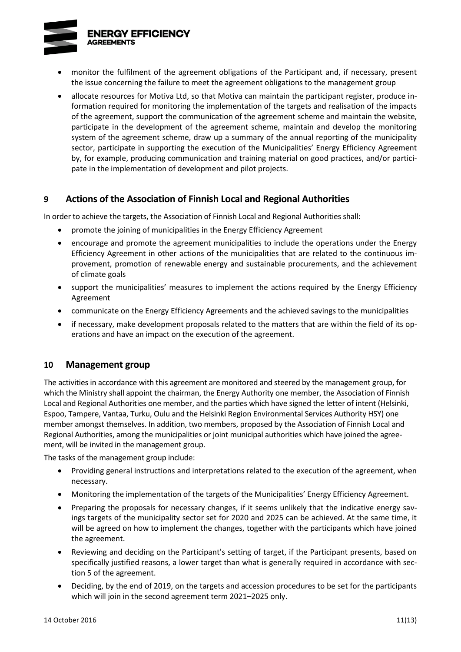**ENERGY EFFICIENCY AGREEMENTS** 



- monitor the fulfilment of the agreement obligations of the Participant and, if necessary, present the issue concerning the failure to meet the agreement obligations to the management group
- allocate resources for Motiva Ltd, so that Motiva can maintain the participant register, produce information required for monitoring the implementation of the targets and realisation of the impacts of the agreement, support the communication of the agreement scheme and maintain the website, participate in the development of the agreement scheme, maintain and develop the monitoring system of the agreement scheme, draw up a summary of the annual reporting of the municipality sector, participate in supporting the execution of the Municipalities' Energy Efficiency Agreement by, for example, producing communication and training material on good practices, and/or participate in the implementation of development and pilot projects.

### **9 Actions of the Association of Finnish Local and Regional Authorities**

In order to achieve the targets, the Association of Finnish Local and Regional Authorities shall:

- promote the joining of municipalities in the Energy Efficiency Agreement
- encourage and promote the agreement municipalities to include the operations under the Energy Efficiency Agreement in other actions of the municipalities that are related to the continuous improvement, promotion of renewable energy and sustainable procurements, and the achievement of climate goals
- support the municipalities' measures to implement the actions required by the Energy Efficiency Agreement
- communicate on the Energy Efficiency Agreements and the achieved savings to the municipalities
- if necessary, make development proposals related to the matters that are within the field of its operations and have an impact on the execution of the agreement.

### **10 Management group**

The activities in accordance with this agreement are monitored and steered by the management group, for which the Ministry shall appoint the chairman, the Energy Authority one member, the Association of Finnish Local and Regional Authorities one member, and the parties which have signed the letter of intent (Helsinki, Espoo, Tampere, Vantaa, Turku, Oulu and the Helsinki Region Environmental Services Authority HSY) one member amongst themselves. In addition, two members, proposed by the Association of Finnish Local and Regional Authorities, among the municipalities or joint municipal authorities which have joined the agreement, will be invited in the management group.

The tasks of the management group include:

- Providing general instructions and interpretations related to the execution of the agreement, when necessary.
- Monitoring the implementation of the targets of the Municipalities' Energy Efficiency Agreement.
- Preparing the proposals for necessary changes, if it seems unlikely that the indicative energy savings targets of the municipality sector set for 2020 and 2025 can be achieved. At the same time, it will be agreed on how to implement the changes, together with the participants which have joined the agreement.
- Reviewing and deciding on the Participant's setting of target, if the Participant presents, based on specifically justified reasons, a lower target than what is generally required in accordance with section 5 of the agreement.
- Deciding, by the end of 2019, on the targets and accession procedures to be set for the participants which will join in the second agreement term 2021–2025 only.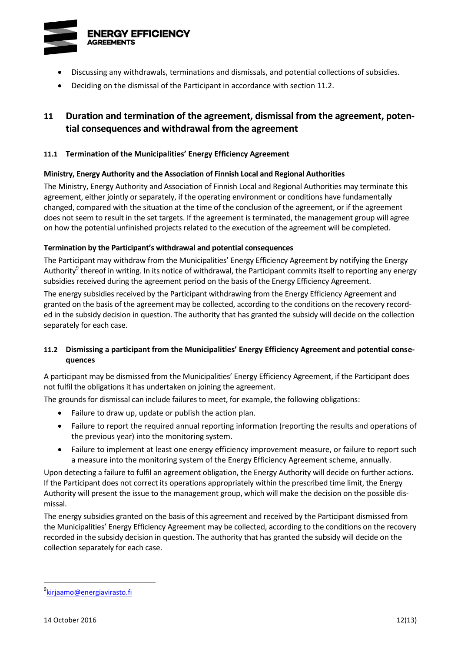

- Discussing any withdrawals, terminations and dismissals, and potential collections of subsidies.
- Deciding on the dismissal of the Participant in accordance with section 11.2.

# **11 Duration and termination of the agreement, dismissal from the agreement, potential consequences and withdrawal from the agreement**

#### **11.1 Termination of the Municipalities' Energy Efficiency Agreement**

#### **Ministry, Energy Authority and the Association of Finnish Local and Regional Authorities**

The Ministry, Energy Authority and Association of Finnish Local and Regional Authorities may terminate this agreement, either jointly or separately, if the operating environment or conditions have fundamentally changed, compared with the situation at the time of the conclusion of the agreement, or if the agreement does not seem to result in the set targets. If the agreement is terminated, the management group will agree on how the potential unfinished projects related to the execution of the agreement will be completed.

#### **Termination by the Participant's withdrawal and potential consequences**

<span id="page-19-0"></span>The Participant may withdraw from the Municipalities' Energy Efficiency Agreement by notifying the Energy Authority<sup>9</sup> thereof in writing. In its notice of withdrawal, the Participant commits itself to reporting any energy subsidies received during the agreement period on the basis of the Energy Efficiency Agreement.

The energy subsidies received by the Participant withdrawing from the Energy Efficiency Agreement and granted on the basis of the agreement may be collected, according to the conditions on the recovery recorded in the subsidy decision in question. The authority that has granted the subsidy will decide on the collection separately for each case.

### **11.2 Dismissing a participant from the Municipalities' Energy Efficiency Agreement and potential consequences**

A participant may be dismissed from the Municipalities' Energy Efficiency Agreement, if the Participant does not fulfil the obligations it has undertaken on joining the agreement.

The grounds for dismissal can include failures to meet, for example, the following obligations:

- Failure to draw up, update or publish the action plan.
- Failure to report the required annual reporting information (reporting the results and operations of the previous year) into the monitoring system.
- Failure to implement at least one energy efficiency improvement measure, or failure to report such a measure into the monitoring system of the Energy Efficiency Agreement scheme, annually.

Upon detecting a failure to fulfil an agreement obligation, the Energy Authority will decide on further actions. If the Participant does not correct its operations appropriately within the prescribed time limit, the Energy Authority will present the issue to the management group, which will make the decision on the possible dismissal.

The energy subsidies granted on the basis of this agreement and received by the Participant dismissed from the Municipalities' Energy Efficiency Agreement may be collected, according to the conditions on the recovery recorded in the subsidy decision in question. The authority that has granted the subsidy will decide on the collection separately for each case.

<sup>&</sup>lt;sup>9</sup>[kirjaamo@energiavirasto.fi](mailto:kirjaamo@energiavirasto.fi)